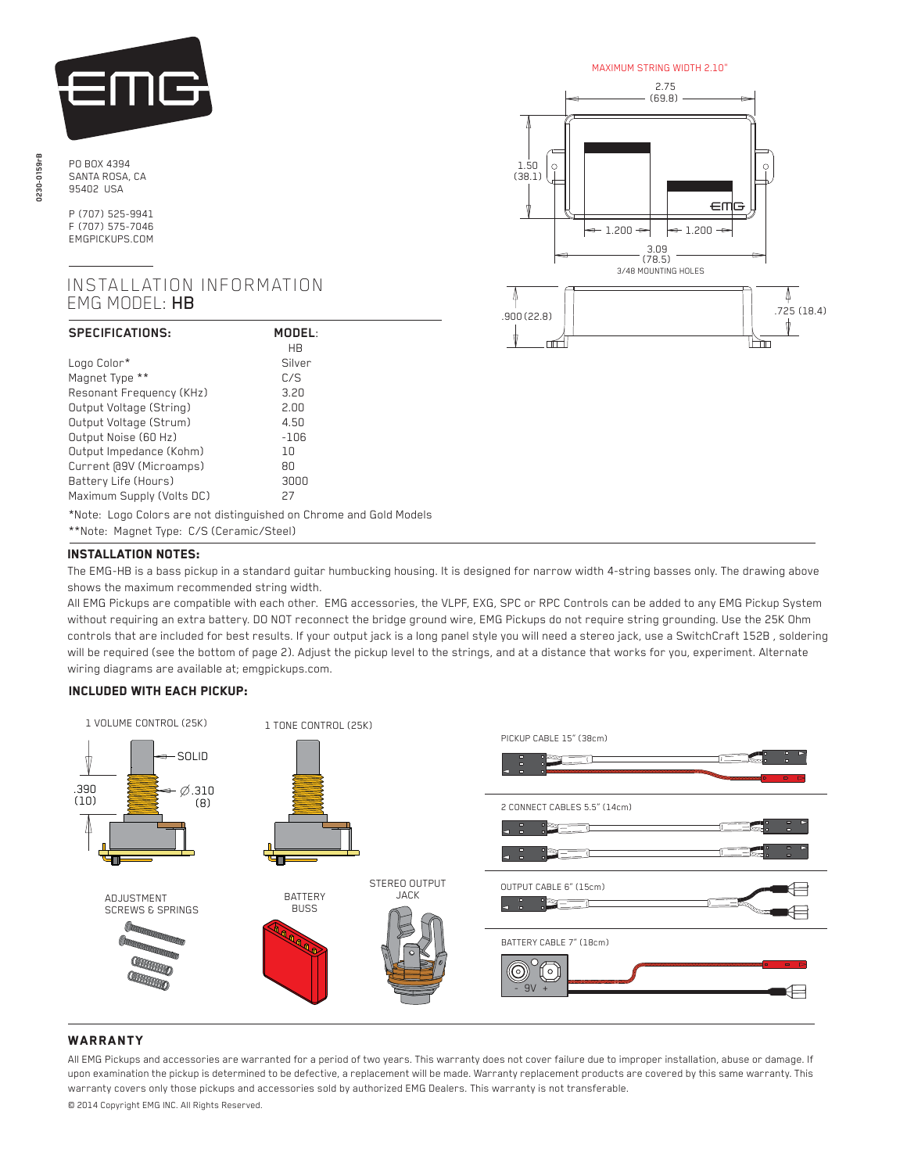

PO BOX 4394 SANTA ROSA, CA 95402 USA

> P (707) 525-9941 F (707) 575-7046 EMGPICKUPS.COM

## INSTALLATION INFORMATION EMG MODEL: HB

| SPECIFICATIONS:           | MODEL:<br>HR |
|---------------------------|--------------|
| Logo Color*               | Silver       |
| Magnet Type **            | C/S          |
| Resonant Frequency (KHz)  | 3.20         |
| Output Voltage (String)   | 2.00         |
| Output Voltage (Strum)    | 4.50         |
| Output Noise (60 Hz)      | $-106$       |
| Output Impedance (Kohm)   | 10           |
| Current [d9V (Microamps)  | 80           |
| Battery Life (Hours)      | 3000         |
| Maximum Supply (Volts DC) | 27           |

\*Note: Logo Colors are not distinguished on Chrome and Gold Models

\*\*Note: Magnet Type: C/S (Ceramic/Steel)

# Installation notes:

 The EMG-HB is a bass pickup in a standard guitar humbucking housing. It is designed for narrow width 4-string basses only. The drawing above shows the maximum recommended string width.

 All EMG Pickups are compatible with each other. EMG accessories, the VLPF, EXG, SPC or RPC Controls can be added to any EMG Pickup System without requiring an extra battery. DO NOT reconnect the bridge ground wire, EMG Pickups do not require string grounding. Use the 25K Ohm controls that are included for best results. If your output jack is a long panel style you will need a stereo jack, use a SwitchCraft 152B , soldering will be required (see the bottom of page 2). Adjust the pickup level to the strings, and at a distance that works for you, experiment. Alternate wiring diagrams are available at; emgpickups.com.

## Included with each pickup:



## **WARRANTY**

All EMG Pickups and accessories are warranted for a period of two years. This warranty does not cover failure due to improper installation, abuse or damage. If upon examination the pickup is determined to be defective, a replacement will be made. Warranty replacement products are covered by this same warranty. This warranty covers only those pickups and accessories sold by authorized EMG Dealers. This warranty is not transferable.

© 2014 Copyright EMG INC. All Rights Reserved.



lèn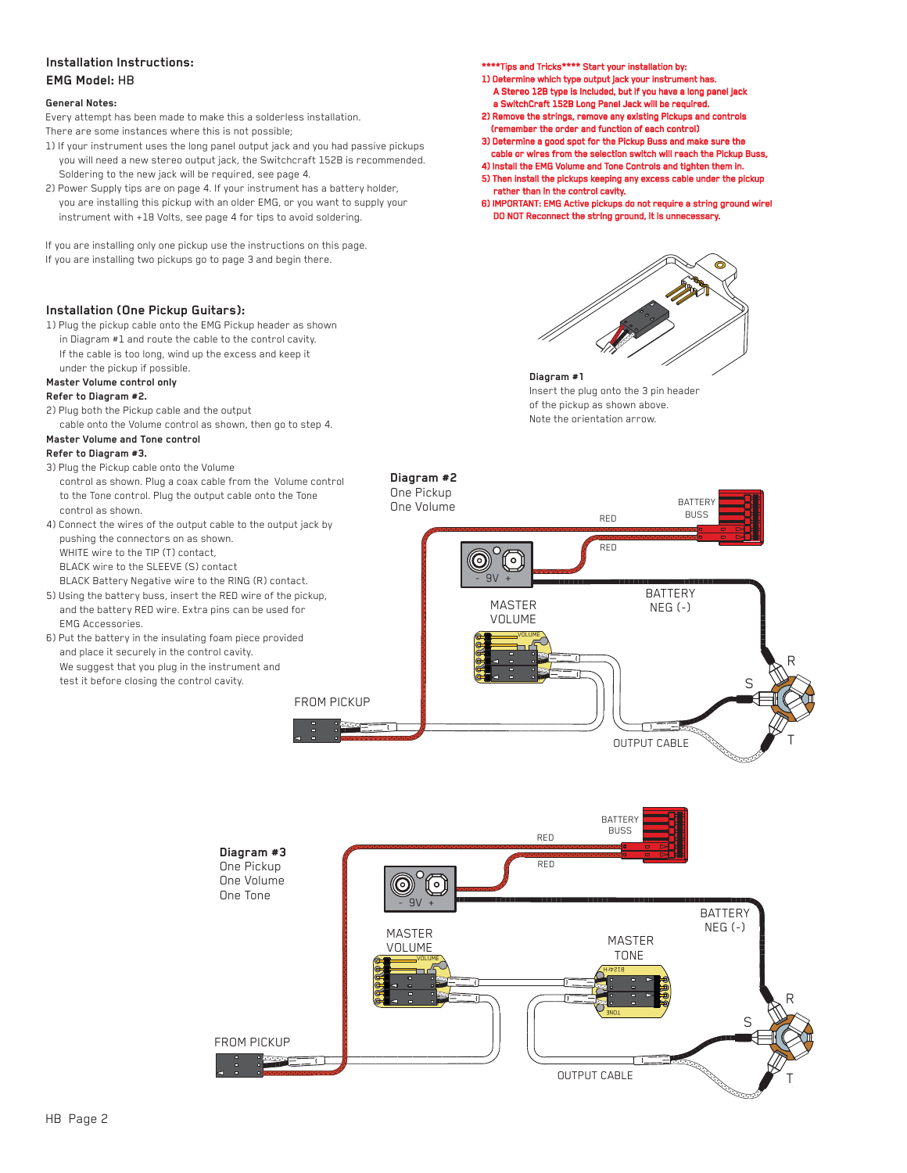## **Installation Instructions: EMG Model:** HB

#### **General Notes:**

Every attempt has been made to make this a solderless installation. There are some instances where this is not possible;

- 1) If your instrument uses the long panel output jack and you had passive pickups you will need a new stereo output jack, the Switchcraft 152B is recommended. Soldering to the new jack will be required, see page 4.
- 2) Power Supply tips are on page 4. If your instrument has a battery holder, you are installing this pickup with an older EMG, or you want to supply your instrument with +18 Volts, see page 4 for tips to avoid soldering.

If you are installing only one pickup use the instructions on this page.

If you are installing two pickups go to page 3 and begin there.

#### **Installation (One Pickup Guitars):**

1) Plug the pickup cable onto the EMG Pickup header as shown in Diagram #1 and route the cable to the control cavity. If the cable is too long, wind up the excess and keep it

under the pickup if possible.

### **Master Volume control only**

## **Refer to Diagram #2.**

2) Plug both the Pickup cable and the output cable onto the Volume control as shown, then go to step 4.

## **Master Volume and Tone control**

## **Refer to Diagram #3.**

- 3) Plug the Pickup cable onto the Volume control as shown. Plug a coax cable from the Volume control to the Tone control. Plug the output cable onto the Tone control as shown.
- 4) Connect the wires of the output cable to the output jack by pushing the connectors on as shown. WHITE wire to the TIP (T) contact BLACK wire to the SLEEVE (S) contact BLACK Battery Negative wire to the RING (R) contact.
- 5) Using the battery buss, insert the RED wire of the pickup, and the battery RED wire. Extra pins can be used for EMG Accessories.

**Diagram #3** One Pickup One Volume One Tone

FROM PICKUP

6) Put the battery in the insulating foam piece provided and place it securely in the control cavity. We suggest that you plug in the instrument and test it before closing the control cavity.

\*\*\*\*Tips and Tricks\*\*\*\* Start your installation by:

- 1) Determine which type output jack your instrument has. A Stereo 12B type is Included, but if you have a long panel jack
- a SwitchCraft 152B Long Panel Jack will be required. 2) Remove the strings, remove any existing Pickups and controls (remember the order and function of each control)
- 3) Determine a good spot for the Pickup Buss and make sure the cable or wires from the selection switch will reach the Pickup Buss,
- 4) Install the EMG Volume and Tone Controls and tighten them in. 5) Then install the pickups keeping any excess cable under the pickup rather than in the control cavity.
- 6) IMPORTANT: EMG Active pickups do not require a string ground wire! DO NOT Reconnect the string ground, it is unnecessary.



## **Diagram #1**

Insert the plug onto the 3 pin header of the pickup as shown above. Note the orientation arrow.



TONE

OUTPUT CABLE

T

R

S

 $NEG(-)$ 

B124rH

MASTER TONE

VOLUME

MASTER VOLUME

قشدت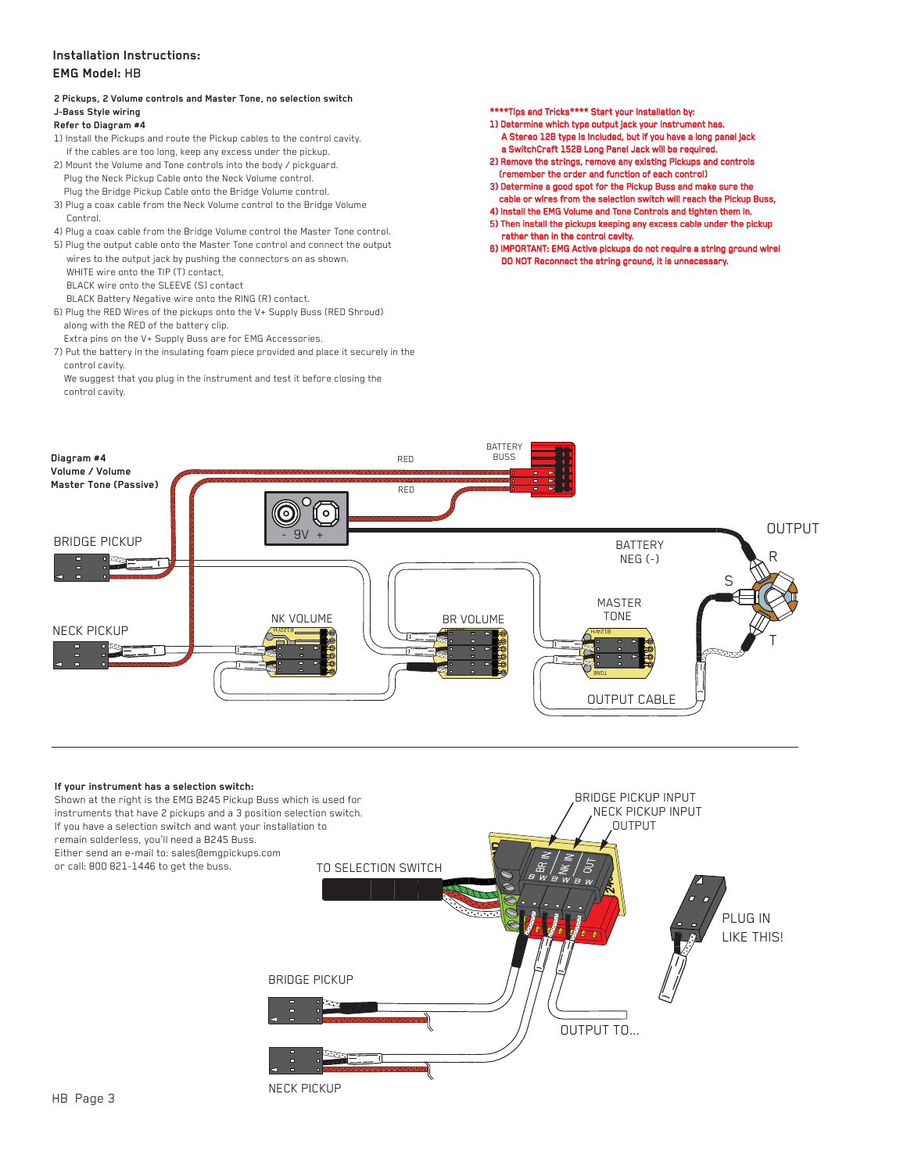## **Installation Instructions: EMG Model:** HB

## **2 Pickups, 2 Volume controls and Master Tone, no selection switch J-Bass Style wiring**

## **Refer to Diagram #4**

- 1) Install the Pickups and route the Pickup cables to the control cavity. If the cables are too long, keep any excess under the pickup.
- 2) Mount the Volume and Tone controls into the body / pickguard. Plug the Neck Pickup Cable onto the Neck Volume control. Plug the Bridge Pickup Cable onto the Bridge Volume control.
- 3) Plug a coax cable from the Neck Volume control to the Bridge Volume Control.
- 4) Plug a coax cable from the Bridge Volume control the Master Tone control.
- 5) Plug the output cable onto the Master Tone control and connect the output wires to the output jack by pushing the connectors on as shown.
- WHITE wire onto the TIP (T) contact,
- BLACK wire onto the SLEEVE (S) contact
- BLACK Battery Negative wire onto the RING (R) contact. 6) Plug the RED Wires of the pickups onto the V+ Supply Buss (RED Shroud)
- along with the RED of the battery clip. Extra pins on the V+ Supply Buss are for EMG Accessories.
- 7) Put the battery in the insulating foam piece provided and place it securely in the control cavity.
- We suggest that you plug in the instrument and test it before closing the control cavity.

\*\*\*\*Tips and Tricks\*\*\*\* Start your installation by:

- 1) Determine which type output jack your instrument has. A Stereo 12B type is Included, but if you have a long panel jack a SwitchCraft 152B Long Panel Jack will be required.
- 2) Remove the strings, remove any existing Pickups and controls (remember the order and function of each control)
- 3) Determine a good spot for the Pickup Buss and make sure the
- cable or wires from the selection switch will reach the Pickup Buss, 4) Install the EMG Volume and Tone Controls and tighten them in.
- 5) Then install the pickups keeping any excess cable under the pickup rather than in the control cavity.
- 6) IMPORTANT: EMG Active pickups do not require a string ground wire! DO NOT Reconnect the string ground, it is unnecessary.



#### **If your instrument has a selection switch:**